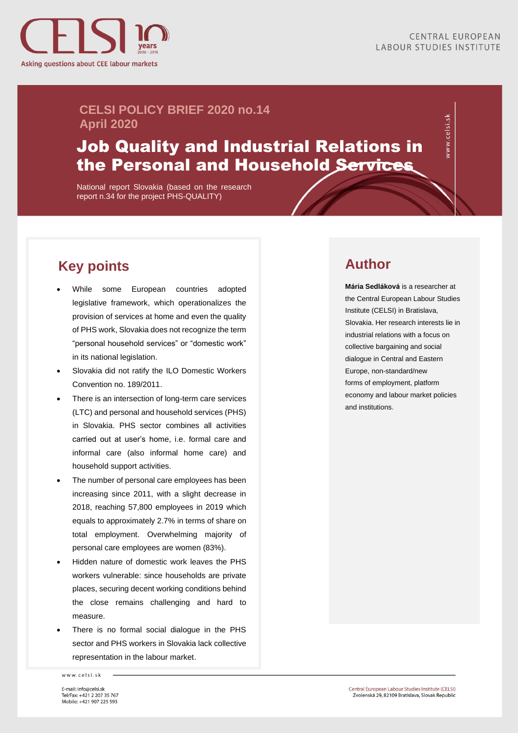

vww.celsi.sk

#### **CELSI POLICY BRIEF 2020 no.14 April 2020**

# Job Quality and Industrial Relations in the Personal and Household Services

National report Slovakia (based on the research report n.34 for the project PHS-QUALITY)

## **Key points**

- While some European countries adopted legislative framework, which operationalizes the provision of services at home and even the quality of PHS work, Slovakia does not recognize the term "personal household services" or "domestic work" in its national legislation.
- Slovakia did not ratify the ILO Domestic Workers Convention no. 189/2011.
- There is an intersection of long-term care services (LTC) and personal and household services (PHS) in Slovakia. PHS sector combines all activities carried out at user's home, i.e. formal care and informal care (also informal home care) and household support activities.
- The number of personal care employees has been increasing since 2011, with a slight decrease in 2018, reaching 57,800 employees in 2019 which equals to approximately 2.7% in terms of share on total employment. Overwhelming majority of personal care employees are women (83%).
- Hidden nature of domestic work leaves the PHS workers vulnerable: since households are private places, securing decent working conditions behind the close remains challenging and hard to measure.
- There is no formal social dialogue in the PHS sector and PHS workers in Slovakia lack collective representation in the labour market.

www.celsi.sk

#### **Author**

**Mária Sedláková** is a researcher at the Central European Labour Studies Institute (CELSI) in Bratislava, Slovakia. Her research interests lie in industrial relations with a focus on collective bargaining and social dialogue in Central and Eastern Europe, non-standard/new forms of employment, platform economy and labour market policies and institutions.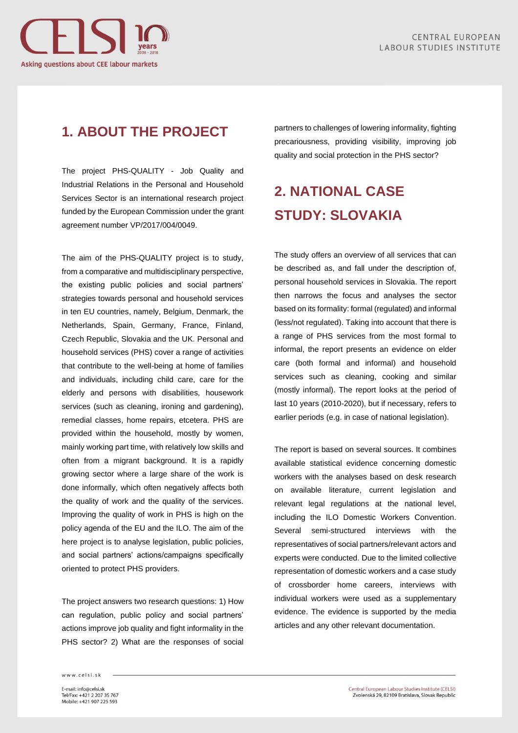

### **1. ABOUT THE PROJECT**

The project PHS-QUALITY - Job Quality and Industrial Relations in the Personal and Household Services Sector is an international research project funded by the European Commission under the grant agreement number VP/2017/004/0049.

The aim of the PHS-QUALITY project is to study, from a comparative and multidisciplinary perspective, the existing public policies and social partners' strategies towards personal and household services in ten EU countries, namely, Belgium, Denmark, the Netherlands, Spain, Germany, France, Finland, Czech Republic, Slovakia and the UK. Personal and household services (PHS) cover a range of activities that contribute to the well-being at home of families and individuals, including child care, care for the elderly and persons with disabilities, housework services (such as cleaning, ironing and gardening), remedial classes, home repairs, etcetera. PHS are provided within the household, mostly by women, mainly working part time, with relatively low skills and often from a migrant background. It is a rapidly growing sector where a large share of the work is done informally, which often negatively affects both the quality of work and the quality of the services. Improving the quality of work in PHS is high on the policy agenda of the EU and the ILO. The aim of the here project is to analyse legislation, public policies, and social partners' actions/campaigns specifically oriented to protect PHS providers.

The project answers two research questions: 1) How can regulation, public policy and social partners' actions improve job quality and fight informality in the PHS sector? 2) What are the responses of social partners to challenges of lowering informality, fighting precariousness, providing visibility, improving job quality and social protection in the PHS sector?

# **2. NATIONAL CASE STUDY: SLOVAKIA**

The study offers an overview of all services that can be described as, and fall under the description of, personal household services in Slovakia. The report then narrows the focus and analyses the sector based on its formality: formal (regulated) and informal (less/not regulated). Taking into account that there is a range of PHS services from the most formal to informal, the report presents an evidence on elder care (both formal and informal) and household services such as cleaning, cooking and similar (mostly informal). The report looks at the period of last 10 years (2010-2020), but if necessary, refers to earlier periods (e.g. in case of national legislation).

The report is based on several sources. It combines available statistical evidence concerning domestic workers with the analyses based on desk research on available literature, current legislation and relevant legal regulations at the national level, including the ILO Domestic Workers Convention. Several semi-structured interviews with the representatives of social partners/relevant actors and experts were conducted. Due to the limited collective representation of domestic workers and a case study of crossborder home careers, interviews with individual workers were used as a supplementary evidence. The evidence is supported by the media articles and any other relevant documentation.

www.celsi.sk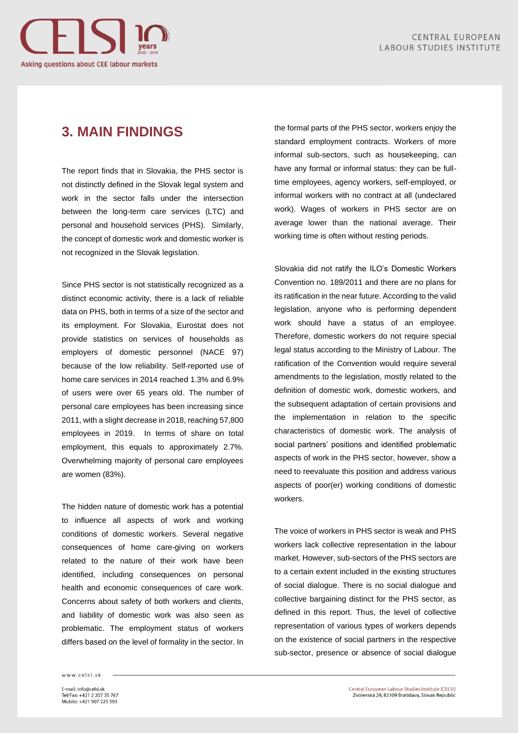

#### **3. MAIN FINDINGS**

The report finds that in Slovakia, the PHS sector is not distinctly defined in the Slovak legal system and work in the sector falls under the intersection between the long-term care services (LTC) and personal and household services (PHS). Similarly, the concept of domestic work and domestic worker is not recognized in the Slovak legislation.

Since PHS sector is not statistically recognized as a distinct economic activity, there is a lack of reliable data on PHS, both in terms of a size of the sector and its employment. For Slovakia, Eurostat does not provide statistics on services of households as employers of domestic personnel (NACE 97) because of the low reliability. Self-reported use of home care services in 2014 reached 1.3% and 6.9% of users were over 65 years old. The number of personal care employees has been increasing since 2011, with a slight decrease in 2018, reaching 57,800 employees in 2019. In terms of share on total employment, this equals to approximately 2.7%. Overwhelming majority of personal care employees are women (83%).

The hidden nature of domestic work has a potential to influence all aspects of work and working conditions of domestic workers. Several negative consequences of home care-giving on workers related to the nature of their work have been identified, including consequences on personal health and economic consequences of care work. Concerns about safety of both workers and clients, and liability of domestic work was also seen as problematic. The employment status of workers differs based on the level of formality in the sector. In the formal parts of the PHS sector, workers enjoy the standard employment contracts. Workers of more informal sub-sectors, such as housekeeping, can have any formal or informal status: they can be fulltime employees, agency workers, self-employed, or informal workers with no contract at all (undeclared work). Wages of workers in PHS sector are on average lower than the national average. Their working time is often without resting periods.

Slovakia did not ratify the ILO's Domestic Workers Convention no. 189/2011 and there are no plans for its ratification in the near future. According to the valid legislation, anyone who is performing dependent work should have a status of an employee. Therefore, domestic workers do not require special legal status according to the Ministry of Labour. The ratification of the Convention would require several amendments to the legislation, mostly related to the definition of domestic work, domestic workers, and the subsequent adaptation of certain provisions and the implementation in relation to the specific characteristics of domestic work. The analysis of social partners' positions and identified problematic aspects of work in the PHS sector, however, show a need to reevaluate this position and address various aspects of poor(er) working conditions of domestic workers.

The voice of workers in PHS sector is weak and PHS workers lack collective representation in the labour market. However, sub-sectors of the PHS sectors are to a certain extent included in the existing structures of social dialogue. There is no social dialogue and collective bargaining distinct for the PHS sector, as defined in this report. Thus, the level of collective representation of various types of workers depends on the existence of social partners in the respective sub-sector, presence or absence of social dialogue

www.celsi.sk